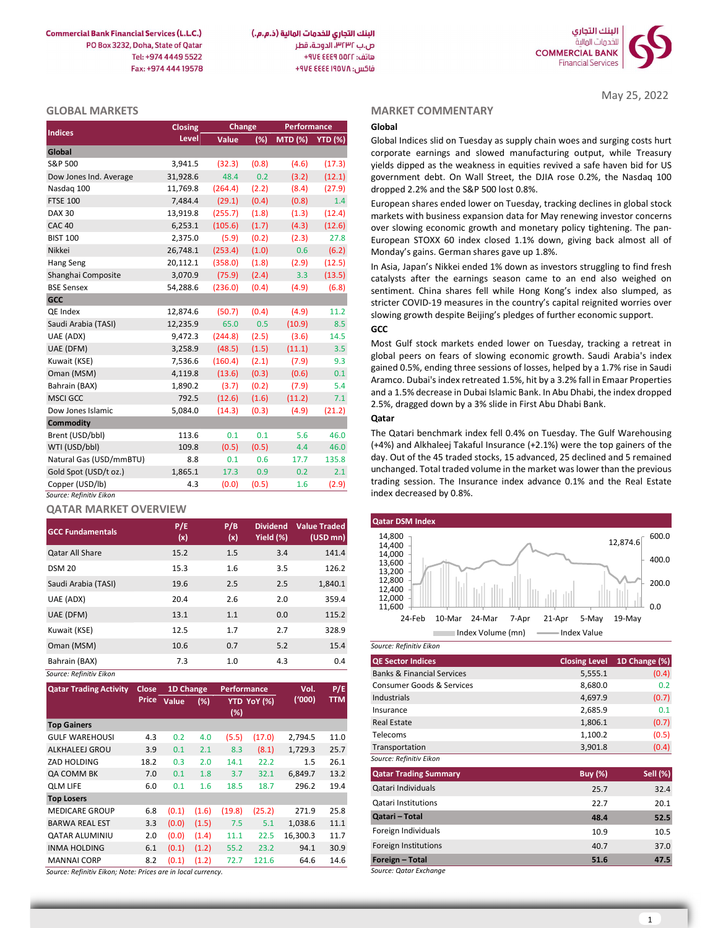**Commercial Bank Financial Services (L.L.C.)** PO Box 3232, Doha, State of Oatar Tel: +974 4449 5522 Fax: +974 444 19578



May 25, 2022

### GLOBAL MARKETS

| <b>Indices</b>          | Closing  | Change  |       | Performance     |        |
|-------------------------|----------|---------|-------|-----------------|--------|
|                         | Level    | Value   | (%)   | MTD (%) YTD (%) |        |
| Global                  |          |         |       |                 |        |
| S&P 500                 | 3,941.5  | (32.3)  | (0.8) | (4.6)           | (17.3) |
| Dow Jones Ind. Average  | 31,928.6 | 48.4    | 0.2   | (3.2)           | (12.1) |
| Nasdag 100              | 11,769.8 | (264.4) | (2.2) | (8.4)           | (27.9) |
| <b>FTSE 100</b>         | 7,484.4  | (29.1)  | (0.4) | (0.8)           | 1.4    |
| <b>DAX 30</b>           | 13,919.8 | (255.7) | (1.8) | (1.3)           | (12.4) |
| <b>CAC 40</b>           | 6,253.1  | (105.6) | (1.7) | (4.3)           | (12.6) |
| <b>BIST 100</b>         | 2,375.0  | (5.9)   | (0.2) | (2.3)           | 27.8   |
| Nikkei                  | 26,748.1 | (253.4) | (1.0) | 0.6             | (6.2)  |
| Hang Seng               | 20,112.1 | (358.0) | (1.8) | (2.9)           | (12.5) |
| Shanghai Composite      | 3,070.9  | (75.9)  | (2.4) | 3.3             | (13.5) |
| <b>BSE Sensex</b>       | 54,288.6 | (236.0) | (0.4) | (4.9)           | (6.8)  |
| <b>GCC</b>              |          |         |       |                 |        |
| QE Index                | 12,874.6 | (50.7)  | (0.4) | (4.9)           | 11.2   |
| Saudi Arabia (TASI)     | 12,235.9 | 65.0    | 0.5   | (10.9)          | 8.5    |
| UAE (ADX)               | 9,472.3  | (244.8) | (2.5) | (3.6)           | 14.5   |
| UAE (DFM)               | 3,258.9  | (48.5)  | (1.5) | (11.1)          | 3.5    |
| Kuwait (KSE)            | 7,536.6  | (160.4) | (2.1) | (7.9)           | 9.3    |
| Oman (MSM)              | 4,119.8  | (13.6)  | (0.3) | (0.6)           | 0.1    |
| Bahrain (BAX)           | 1,890.2  | (3.7)   | (0.2) | (7.9)           | 5.4    |
| <b>MSCI GCC</b>         | 792.5    | (12.6)  | (1.6) | (11.2)          | 7.1    |
| Dow Jones Islamic       | 5,084.0  | (14.3)  | (0.3) | (4.9)           | (21.2) |
| <b>Commodity</b>        |          |         |       |                 |        |
| Brent (USD/bbl)         | 113.6    | 0.1     | 0.1   | 5.6             | 46.0   |
| WTI (USD/bbl)           | 109.8    | (0.5)   | (0.5) | 4.4             | 46.0   |
| Natural Gas (USD/mmBTU) | 8.8      | 0.1     | 0.6   | 17.7            | 135.8  |
| Gold Spot (USD/t oz.)   | 1,865.1  | 17.3    | 0.9   | 0.2             | 2.1    |
| Copper (USD/lb)         | 4.3      | (0.0)   | (0.5) | 1.6             | (2.9)  |
| Source: Refinitiv Eikon |          |         |       |                 |        |

# QATAR MARKET OVERVIEW

| <b>GCC Fundamentals</b> | P/E<br>(x) | P/B<br>(x) | <b>Dividend</b><br>Yield (%) | <b>Value Traded</b><br>$(USD \, mn)$ | <b>Qatar DSM Index</b><br>14,800<br>12,874.6                               |
|-------------------------|------------|------------|------------------------------|--------------------------------------|----------------------------------------------------------------------------|
| <b>Qatar All Share</b>  | 15.2       | 1.5        | 3.4                          | 141.4                                | 14,400<br>14,000                                                           |
| <b>DSM 20</b>           | 15.3       | 1.6        | 3.5                          | 126.2                                | 13,600<br>13,200                                                           |
| Saudi Arabia (TASI)     | 19.6       | 2.5        | 2.5                          | 1,840.1                              | 12,800<br>12,400                                                           |
| UAE (ADX)               | 20.4       | 2.6        | 2.0                          | 359.4                                | 12,000                                                                     |
| UAE (DFM)               | 13.1       | 1.1        | 0.0                          | 115.2                                | 11,600<br>24-Feb<br>19-May<br>10-Mar<br>24-Mar<br>21-Apr<br>5-May<br>7-Apr |
| Kuwait (KSE)            | 12.5       | 1.7        | 2.7                          | 328.9                                | Index Volume (mn)<br>Index Value                                           |
| Oman (MSM)              | 10.6       | 0.7        | 5.2                          | 15.4                                 | Source: Refinitiv Eikon                                                    |
| Bahrain (BAX)           | 7.3        | 1.0        | 4.3                          | 0.4                                  | <b>QE Sector Indices</b><br>1D <sub>Ch</sub><br><b>Closing Level</b>       |
| Source: Refinitiv Eikon |            |            |                              |                                      | <b>Banks &amp; Financial Services</b><br>5,555.1                           |

| <b>Qatar Trading Activity</b> | <b>Close</b> | 1D Change |       | <b>Performance</b> |             | Vol.     | P/E  |
|-------------------------------|--------------|-----------|-------|--------------------|-------------|----------|------|
|                               | <b>Price</b> | Value     | (%)   |                    | YTD YoY (%) | ('000)   | TTM  |
|                               |              |           |       | (%)                |             |          |      |
| <b>Top Gainers</b>            |              |           |       |                    |             |          |      |
| <b>GULF WAREHOUSI</b>         | 4.3          | 0.2       | 4.0   | (5.5)              | (17.0)      | 2,794.5  | 11.0 |
| ALKHALEEJ GROU                | 3.9          | 0.1       | 2.1   | 8.3                | (8.1)       | 1,729.3  | 25.7 |
| ZAD HOLDING                   | 18.2         | 0.3       | 2.0   | 14.1               | 22.2        | 1.5      | 26.1 |
| QA COMM BK                    | 7.0          | 0.1       | 1.8   | 3.7                | 32.1        | 6,849.7  | 13.2 |
| <b>OLM LIFE</b>               | 6.0          | 0.1       | 1.6   | 18.5               | 18.7        | 296.2    | 19.4 |
| <b>Top Losers</b>             |              |           |       |                    |             |          |      |
| <b>MEDICARE GROUP</b>         | 6.8          | (0.1)     | (1.6) | (19.8)             | (25.2)      | 271.9    | 25.8 |
| <b>BARWA REAL EST</b>         | 3.3          | (0.0)     | (1.5) | 7.5                | 5.1         | 1,038.6  | 11.1 |
| <b>QATAR ALUMINIU</b>         | 2.0          | (0.0)     | (1.4) | 11.1               | 22.5        | 16.300.3 | 11.7 |
| <b>INMA HOLDING</b>           | 6.1          | (0.1)     | (1.2) | 55.2               | 23.2        | 94.1     | 30.9 |
| <b>MANNAI CORP</b>            | 8.2          | (0.1)     | (1.2) | 72.7               | 121.6       | 64.6     | 14.6 |

Source: Refinitiv Eikon; Note: Prices are in local currency.

#### MARKET COMMENTARY

# **GCC**

#### Qatar



| 7.3   |                             | 1.0         |             | 4.3      | 0.4        | <b>QE Sector Indices</b>              | <b>Closing Level</b> | 1D Change (%)   |
|-------|-----------------------------|-------------|-------------|----------|------------|---------------------------------------|----------------------|-----------------|
|       |                             |             |             |          |            | <b>Banks &amp; Financial Services</b> | 5,555.1              | (0.4)           |
|       | 1D Change                   | Performance |             | Vol.     | P/E        | Consumer Goods & Services             | 8,680.0              | 0.2             |
| Value | (%)                         |             | YTD YoY (%) | ('000)   | <b>TTM</b> | Industrials                           | 4,697.9              | (0.7)           |
|       |                             | (%)         |             |          |            | Insurance                             | 2,685.9              | 0.1             |
|       |                             |             |             |          |            | <b>Real Estate</b>                    | 1,806.1              | (0.7)           |
| 0.2   | 4.0                         | (5.5)       | (17.0)      | 2,794.5  | 11.0       | Telecoms                              | 1,100.2              | (0.5)           |
| 0.1   | 2.1                         | 8.3         | (8.1)       | 1,729.3  | 25.7       | Transportation                        | 3,901.8              | (0.4)           |
| 0.3   | 2.0                         | 14.1        | 22.2        | 1.5      | 26.1       | Source: Refinitiv Eikon               |                      |                 |
| 0.1   | 1.8                         | 3.7         | 32.1        | 6,849.7  | 13.2       | <b>Qatar Trading Summary</b>          | <b>Buy (%)</b>       | <b>Sell (%)</b> |
| 0.1   | 1.6                         | 18.5        | 18.7        | 296.2    | 19.4       | Qatari Individuals                    | 25.7                 | 32.4            |
|       |                             |             |             |          |            | Qatari Institutions                   | 22.7                 | 20.1            |
| (0.1) | (1.6)                       | (19.8)      | (25.2)      | 271.9    | 25.8       | <b>Qatari - Total</b>                 | 48.4                 | 52.5            |
| (0.0) | (1.5)                       | 7.5         | 5.1         | 1,038.6  | 11.1       | Foreign Individuals                   |                      |                 |
| (0.0) | (1.4)                       | 11.1        | 22.5        | 16,300.3 | 11.7       |                                       | 10.9                 | 10.5            |
| (0.1) | (1.2)                       | 55.2        | 23.2        | 94.1     | 30.9       | Foreign Institutions                  | 40.7                 | 37.0            |
| (0.1) | (1.2)                       | 72.7        | 121.6       | 64.6     | 14.6       | Foreign - Total                       | 51.6                 | 47.5            |
|       | المستستستين استستار المناسب |             |             |          |            | Source: Oatar Evchange                |                      |                 |

urce: Qatar Exchange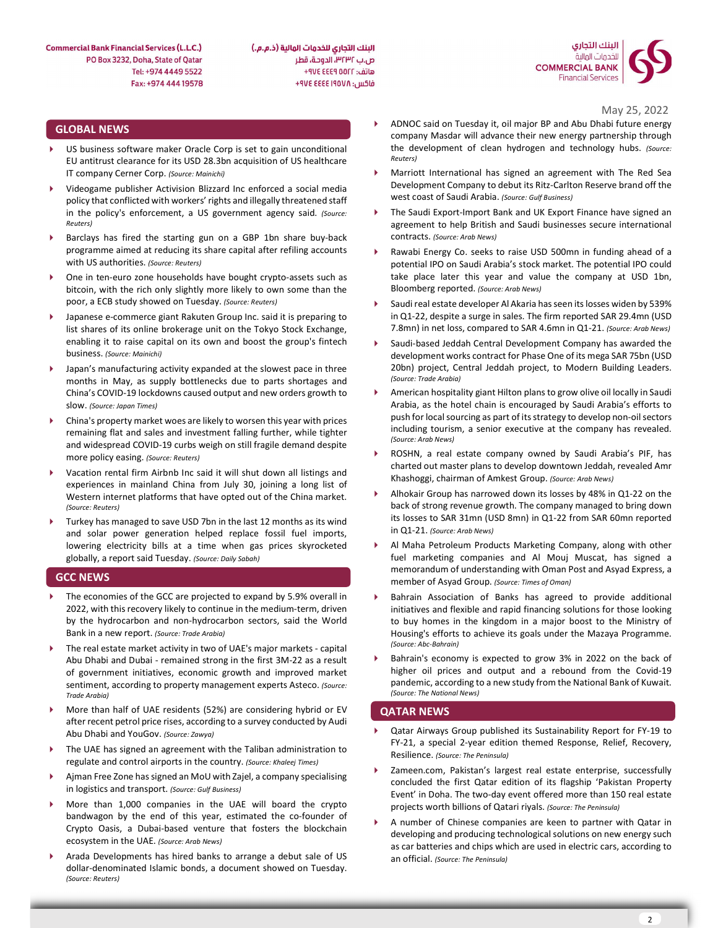البنك التجاري للخدمات المالية (ذ.م.م.) ص.ب ٣٢٣٢، الدوحة، قطر هاتف: AVE EEE 9 00FF+ فاكس: ۴۹۷٤ ٤٤٤٤ ٤٧٤ +



May 25, 2022

# GLOBAL NEWS

- US business software maker Oracle Corp is set to gain unconditional EU antitrust clearance for its USD 28.3bn acquisition of US healthcare IT company Cerner Corp. (Source: Mainichi)
- Videogame publisher Activision Blizzard Inc enforced a social media policy that conflicted with workers' rights and illegally threatened staff in the policy's enforcement, a US government agency said. (Source: Reuters)
- Barclays has fired the starting gun on a GBP 1bn share buy-back programme aimed at reducing its share capital after refiling accounts with US authorities. (Source: Reuters)
- One in ten-euro zone households have bought crypto-assets such as bitcoin, with the rich only slightly more likely to own some than the poor, a ECB study showed on Tuesday. (Source: Reuters)
- Japanese e-commerce giant Rakuten Group Inc. said it is preparing to list shares of its online brokerage unit on the Tokyo Stock Exchange, enabling it to raise capital on its own and boost the group's fintech business. (Source: Mainichi)
- Japan's manufacturing activity expanded at the slowest pace in three months in May, as supply bottlenecks due to parts shortages and China's COVID-19 lockdowns caused output and new orders growth to slow. (Source: Japan Times)
- China's property market woes are likely to worsen this year with prices remaining flat and sales and investment falling further, while tighter and widespread COVID-19 curbs weigh on still fragile demand despite more policy easing. (Source: Reuters)
- Vacation rental firm Airbnb Inc said it will shut down all listings and experiences in mainland China from July 30, joining a long list of Western internet platforms that have opted out of the China market. (Source: Reuters)
- Turkey has managed to save USD 7bn in the last 12 months as its wind and solar power generation helped replace fossil fuel imports, lowering electricity bills at a time when gas prices skyrocketed globally, a report said Tuesday. (Source: Daily Sabah)

### GCC NEWS

- The economies of the GCC are projected to expand by 5.9% overall in 2022, with this recovery likely to continue in the medium-term, driven by the hydrocarbon and non-hydrocarbon sectors, said the World Bank in a new report. (Source: Trade Arabia)
- The real estate market activity in two of UAE's major markets capital Abu Dhabi and Dubai - remained strong in the first 3M-22 as a result of government initiatives, economic growth and improved market sentiment, according to property management experts Asteco. (Source: Trade Arabia)
- More than half of UAE residents (52%) are considering hybrid or EV after recent petrol price rises, according to a survey conducted by Audi Abu Dhabi and YouGov. (Source: Zawya)
- The UAE has signed an agreement with the Taliban administration to regulate and control airports in the country. (Source: Khaleej Times)
- Ajman Free Zone has signed an MoU with Zajel, a company specialising in logistics and transport. (Source: Gulf Business)
- More than 1,000 companies in the UAE will board the crypto bandwagon by the end of this year, estimated the co-founder of Crypto Oasis, a Dubai-based venture that fosters the blockchain ecosystem in the UAE. (Source: Arab News)
- Arada Developments has hired banks to arrange a debut sale of US dollar-denominated Islamic bonds, a document showed on Tuesday. (Source: Reuters)
- ADNOC said on Tuesday it, oil major BP and Abu Dhabi future energy company Masdar will advance their new energy partnership through the development of clean hydrogen and technology hubs. (Source: Reuters)
- Marriott International has signed an agreement with The Red Sea Development Company to debut its Ritz-Carlton Reserve brand off the west coast of Saudi Arabia. (Source: Gulf Business)
- The Saudi Export-Import Bank and UK Export Finance have signed an agreement to help British and Saudi businesses secure international contracts. (Source: Arab News)
- Rawabi Energy Co. seeks to raise USD 500mn in funding ahead of a potential IPO on Saudi Arabia's stock market. The potential IPO could take place later this year and value the company at USD 1bn, Bloomberg reported. (Source: Arab News)
- Saudi real estate developer Al Akaria has seen its losses widen by 539% in Q1-22, despite a surge in sales. The firm reported SAR 29.4mn (USD 7.8mn) in net loss, compared to SAR 4.6mn in Q1-21. (Source: Arab News)
- Saudi-based Jeddah Central Development Company has awarded the development works contract for Phase One of its mega SAR 75bn (USD 20bn) project, Central Jeddah project, to Modern Building Leaders. (Source: Trade Arabia)
- American hospitality giant Hilton plans to grow olive oil locally in Saudi Arabia, as the hotel chain is encouraged by Saudi Arabia's efforts to push for local sourcing as part of its strategy to develop non-oil sectors including tourism, a senior executive at the company has revealed. (Source: Arab News)
- ROSHN, a real estate company owned by Saudi Arabia's PIF, has charted out master plans to develop downtown Jeddah, revealed Amr Khashoggi, chairman of Amkest Group. (Source: Arab News)
- Alhokair Group has narrowed down its losses by 48% in Q1-22 on the back of strong revenue growth. The company managed to bring down its losses to SAR 31mn (USD 8mn) in Q1-22 from SAR 60mn reported in Q1-21. (Source: Arab News)
- Al Maha Petroleum Products Marketing Company, along with other fuel marketing companies and Al Mouj Muscat, has signed a memorandum of understanding with Oman Post and Asyad Express, a member of Asyad Group. (Source: Times of Oman)
- Bahrain Association of Banks has agreed to provide additional initiatives and flexible and rapid financing solutions for those looking to buy homes in the kingdom in a major boost to the Ministry of Housing's efforts to achieve its goals under the Mazaya Programme. (Source: Abc-Bahrain)
- Bahrain's economy is expected to grow 3% in 2022 on the back of higher oil prices and output and a rebound from the Covid-19 pandemic, according to a new study from the National Bank of Kuwait. (Source: The National News)

### QATAR NEWS

- Qatar Airways Group published its Sustainability Report for FY-19 to FY-21, a special 2-year edition themed Response, Relief, Recovery, Resilience. (Source: The Peninsula)
- Zameen.com, Pakistan's largest real estate enterprise, successfully concluded the first Qatar edition of its flagship 'Pakistan Property Event' in Doha. The two-day event offered more than 150 real estate projects worth billions of Qatari riyals. (Source: The Peninsula)
- A number of Chinese companies are keen to partner with Qatar in developing and producing technological solutions on new energy such as car batteries and chips which are used in electric cars, according to an official. (Source: The Peninsula)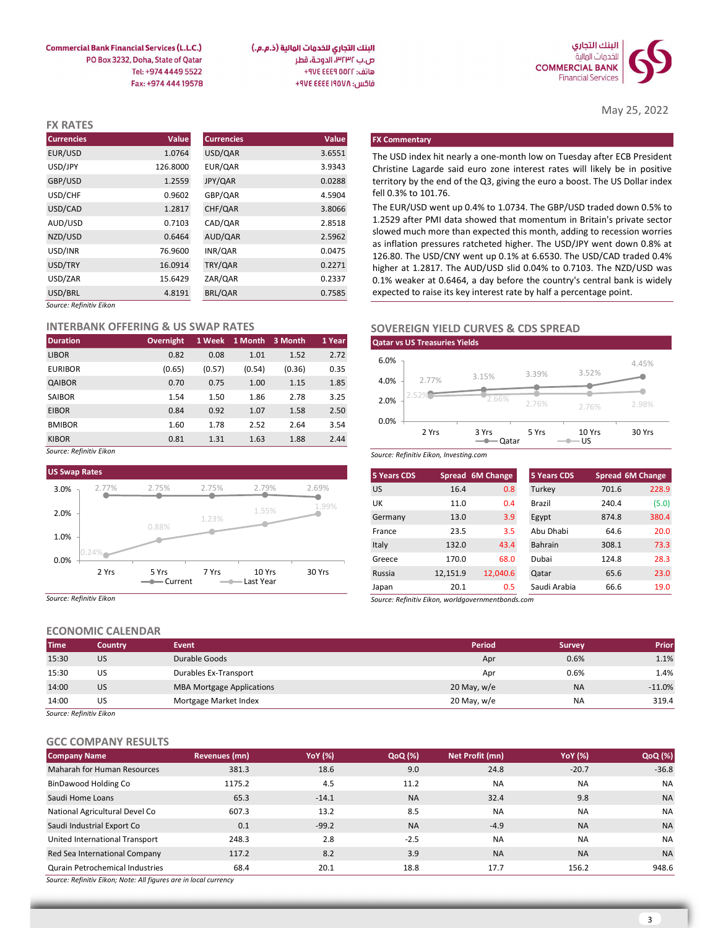

May 25, 2022

البنك التجاري للخدمات المالية (ذ.م.م.) ص.ب ٣٢٣٢، الدوحة، قطر هاتف: ٩٧٤ ٤٤٤٩ ٧٧٤ فاكس: ٩٧٤ ٤٤٤٤ ٤٧٤ +٩٧٤

**Commercial Bank Financial Services (L.L.C.)** PO Box 3232, Doha, State of Qatar Tel: +974 4449 5522 Fax: +974 444 19578

| <b>FX RATES</b>         |          |                   |        |                                                                                                                                               |
|-------------------------|----------|-------------------|--------|-----------------------------------------------------------------------------------------------------------------------------------------------|
| <b>Currencies</b>       | Value    | <b>Currencies</b> | Value  | <b>FX Commentary</b>                                                                                                                          |
| EUR/USD                 | 1.0764   | USD/QAR           | 3.6551 | The USD index hit nearly a one-month low on Tuesday after ECB President                                                                       |
| USD/JPY                 | 126.8000 | EUR/QAR           | 3.9343 | Christine Lagarde said euro zone interest rates will likely be in positive                                                                    |
| GBP/USD                 | 1.2559   | JPY/QAR           | 0.0288 | territory by the end of the Q3, giving the euro a boost. The US Dollar index                                                                  |
| USD/CHF                 | 0.9602   | GBP/QAR           | 4.5904 | fell 0.3% to 101.76.                                                                                                                          |
| USD/CAD                 | 1.2817   | CHF/QAR           | 3.8066 | The EUR/USD went up 0.4% to 1.0734. The GBP/USD traded down 0.5% to                                                                           |
| AUD/USD                 | 0.7103   | CAD/QAR           | 2.8518 | 1.2529 after PMI data showed that momentum in Britain's private sector                                                                        |
| NZD/USD                 | 0.6464   | AUD/QAR           | 2.5962 | slowed much more than expected this month, adding to recession worries                                                                        |
| USD/INR                 | 76.9600  | INR/QAR           | 0.0475 | as inflation pressures ratcheted higher. The USD/JPY went down 0.8% at<br>126.80. The USD/CNY went up 0.1% at 6.6530. The USD/CAD traded 0.4% |
| USD/TRY                 | 16.0914  | TRY/QAR           | 0.2271 | higher at 1.2817. The AUD/USD slid 0.04% to 0.7103. The NZD/USD was                                                                           |
| USD/ZAR                 | 15.6429  | ZAR/QAR           | 0.2337 | 0.1% weaker at 0.6464, a day before the country's central bank is widely                                                                      |
| USD/BRL                 | 4.8191   | BRL/QAR           | 0.7585 | expected to raise its key interest rate by half a percentage point.                                                                           |
| Source: Refinitiv Eikon |          |                   |        |                                                                                                                                               |

#### INTERBANK OFFERING & US SWAP RATES

| <b>Duration</b> | Overnight |        | 1 Week 1 Month 3 Month |        | 1 Year |
|-----------------|-----------|--------|------------------------|--------|--------|
| <b>LIBOR</b>    | 0.82      | 0.08   | 1.01                   | 1.52   | 2.72   |
| <b>EURIBOR</b>  | (0.65)    | (0.57) | (0.54)                 | (0.36) | 0.35   |
| QAIBOR          | 0.70      | 0.75   | 1.00                   | 1.15   | 1.85   |
| <b>SAIBOR</b>   | 1.54      | 1.50   | 1.86                   | 2.78   | 3.25   |
| <b>EIBOR</b>    | 0.84      | 0.92   | 1.07                   | 1.58   | 2.50   |
| <b>BMIBOR</b>   | 1.60      | 1.78   | 2.52                   | 2.64   | 3.54   |
| <b>KIBOR</b>    | 0.81      | 1.31   | 1.63                   | 1.88   | 2.44   |

Source: Refinitiv Eikon



Source: Refinitiv Eikon

# ECONOMIC CALENDAR

| <b>Time</b> | Country   | <b>Event</b>                     | <b>Period</b> | <b>Survey</b> | <b>Prior</b> |
|-------------|-----------|----------------------------------|---------------|---------------|--------------|
| 15:30       | US        | Durable Goods                    | Apr           | 0.6%          | 1.1%         |
| 15:30       | US        | Durables Ex-Transport            | Apr           | 0.6%          | 1.4%         |
| 14:00       | <b>US</b> | <b>MBA Mortgage Applications</b> | 20 May, $w/e$ | <b>NA</b>     | $-11.0%$     |
| 14:00       | US        | Mortgage Market Index            | 20 May, w/e   | <b>NA</b>     | 319.4        |
|             |           |                                  |               |               |              |

Source: Refinitiv Eikon

# GCC COMPANY RESULTS

| <b>Company Name</b>             | Revenues (mn) | <b>YoY</b> (%) | QoQ (%)   | Net Profit (mn) | <b>YoY</b> (%) | QoQ (%)   |
|---------------------------------|---------------|----------------|-----------|-----------------|----------------|-----------|
| Maharah for Human Resources     | 381.3         | 18.6           | 9.0       | 24.8            | $-20.7$        | $-36.8$   |
| BinDawood Holding Co            | 1175.2        | 4.5            | 11.2      | NA              | <b>NA</b>      | <b>NA</b> |
| Saudi Home Loans                | 65.3          | $-14.1$        | <b>NA</b> | 32.4            | 9.8            | <b>NA</b> |
| National Agricultural Devel Co  | 607.3         | 13.2           | 8.5       | <b>NA</b>       | <b>NA</b>      | <b>NA</b> |
| Saudi Industrial Export Co      | 0.1           | $-99.2$        | <b>NA</b> | $-4.9$          | <b>NA</b>      | <b>NA</b> |
| United International Transport  | 248.3         | 2.8            | $-2.5$    | <b>NA</b>       | <b>NA</b>      | <b>NA</b> |
| Red Sea International Company   | 117.2         | 8.2            | 3.9       | <b>NA</b>       | <b>NA</b>      | <b>NA</b> |
| Qurain Petrochemical Industries | 68.4          | 20.1           | 18.8      | 17.7            | 156.2          | 948.6     |
|                                 |               |                |           |                 |                |           |

Source: Refinitiv Eikon; Note: All figures are in local currency

# SOVEREIGN YIELD CURVES & CDS SPREAD



|                    | 0.9602                                 | GBP/QAR       |                        |        | 4.5904 |                    | fell 0.3% to 101.76.                                                                                                                             |                         |                |        |                  |
|--------------------|----------------------------------------|---------------|------------------------|--------|--------|--------------------|--------------------------------------------------------------------------------------------------------------------------------------------------|-------------------------|----------------|--------|------------------|
|                    | 1.2817                                 | CHF/QAR       |                        |        | 3.8066 |                    | The EUR/USD went up 0.4% to 1.0734. The GBP/USD traded down 0.5% to                                                                              |                         |                |        |                  |
|                    | 0.7103                                 | CAD/QAR       |                        |        | 2.8518 |                    | 1.2529 after PMI data showed that momentum in Britain's private sector                                                                           |                         |                |        |                  |
|                    | 0.6464                                 | AUD/QAR       |                        |        | 2.5962 |                    | slowed much more than expected this month, adding to recession worries<br>as inflation pressures ratcheted higher. The USD/JPY went down 0.8% at |                         |                |        |                  |
|                    | 76.9600                                | INR/QAR       |                        |        | 0.0475 |                    | 126.80. The USD/CNY went up 0.1% at 6.6530. The USD/CAD traded 0.4%                                                                              |                         |                |        |                  |
|                    | 16.0914                                | TRY/QAR       |                        |        | 0.2271 |                    | higher at 1.2817. The AUD/USD slid 0.04% to 0.7103. The NZD/USD was                                                                              |                         |                |        |                  |
|                    | 15.6429                                | ZAR/QAR       |                        |        | 0.2337 |                    | 0.1% weaker at 0.6464, a day before the country's central bank is widely                                                                         |                         |                |        |                  |
|                    | 4.8191                                 | BRL/QAR       |                        |        | 0.7585 |                    | expected to raise its key interest rate by half a percentage point.                                                                              |                         |                |        |                  |
| <sup>,</sup> Eikon |                                        |               |                        |        |        |                    |                                                                                                                                                  |                         |                |        |                  |
|                    | <b>IK OFFERING &amp; US SWAP RATES</b> |               |                        |        |        |                    | <b>SOVEREIGN YIELD CURVES &amp; CDS SPREAD</b>                                                                                                   |                         |                |        |                  |
|                    | <b>Overnight</b>                       |               | 1 Week 1 Month 3 Month |        | 1 Year |                    | <b>Qatar vs US Treasuries Yields</b>                                                                                                             |                         |                |        |                  |
|                    | 0.82                                   | 0.08          | 1.01                   | 1.52   | 2.72   | 6.0%               |                                                                                                                                                  |                         |                |        |                  |
|                    | (0.65)                                 | (0.57)        | (0.54)                 | (0.36) | 0.35   |                    |                                                                                                                                                  |                         | 3.39%          | 3.52%  | 4.45%            |
|                    | 0.70                                   | 0.75          | 1.00                   | 1.15   | 1.85   | 4.0%               | 2.77%                                                                                                                                            | 3.15%                   |                |        |                  |
|                    | 1.54                                   | 1.50          | 1.86                   | 2.78   | 3.25   | 2.0%               |                                                                                                                                                  | 2.66%                   | 2.76%          |        | 2.98%            |
|                    | 0.84                                   | 0.92          | 1.07                   | 1.58   | 2.50   |                    |                                                                                                                                                  |                         |                | 2.76%  |                  |
|                    | 1.60                                   | 1.78          | 2.52                   | 2.64   | 3.54   | 0.0%               | 2 Yrs                                                                                                                                            | 3 Yrs                   | 5 Yrs          | 10 Yrs | 30 Yrs           |
|                    | 0.81                                   | 1.31          | 1.63                   | 1.88   | 2.44   |                    |                                                                                                                                                  | $\longrightarrow Qatar$ | $-$ US         |        |                  |
| Eikon              |                                        |               |                        |        |        |                    | Source: Refinitiv Eikon, Investing.com                                                                                                           |                         |                |        |                  |
| es                 |                                        |               |                        |        |        | <b>5 Years CDS</b> |                                                                                                                                                  | Spread 6M Change        | 5 Years CDS    |        | Spread 6M Change |
| 2.77%              | 2.75%                                  | 2.75%         | 2.79%                  |        | 2.69%  | <b>US</b>          | 16.4                                                                                                                                             | 0.8                     | Turkey         | 701.6  | 228.9            |
|                    |                                        |               |                        |        |        | UK                 | 11.0                                                                                                                                             | 0.4                     | Brazil         | 240.4  | (5.0)            |
|                    |                                        | 1.23%         | 1.55%                  |        | 1.99%  | Germany            | 13.0                                                                                                                                             | 3.9                     | Egypt          | 874.8  | 380.4            |
|                    | 0.88%                                  |               |                        |        |        | France             | 23.5                                                                                                                                             | 3.5                     | Abu Dhabi      | 64.6   | 20.0             |
|                    |                                        |               |                        |        |        | Italy              | 132.0                                                                                                                                            | 43.4                    | <b>Bahrain</b> | 308.1  | 73.3             |
|                    |                                        |               |                        |        |        | Greece             | 170.0                                                                                                                                            | 68.0                    | Dubai          | 124.8  | 28.3             |
| 2 Yrs              | 5 Yrs                                  | 7 Yrs         | 10 Yrs                 |        | 30 Yrs | Russia             | 12,151.9                                                                                                                                         | 12,040.6                | Qatar          | 65.6   | 23.0             |
|                    |                                        |               | - Last Year            |        |        | Japan              | 20.1                                                                                                                                             | 0.5                     | Saudi Arabia   | 66.6   | 19.0             |
| Eikon              |                                        |               |                        |        |        |                    | Source: Refinitiv Eikon, worldgovernmentbonds.com                                                                                                |                         |                |        |                  |
|                    |                                        |               |                        |        |        |                    |                                                                                                                                                  |                         |                |        |                  |
| <b>IC CALENDAR</b> |                                        |               |                        |        |        |                    |                                                                                                                                                  |                         |                |        |                  |
| Country            | <b>Event</b>                           |               |                        |        |        |                    |                                                                                                                                                  | <b>Period</b>           | <b>Survey</b>  |        | Prior            |
| 11C                |                                        | Durchle Coode |                        |        |        |                    |                                                                                                                                                  |                         | 0.001          |        | 1.101            |